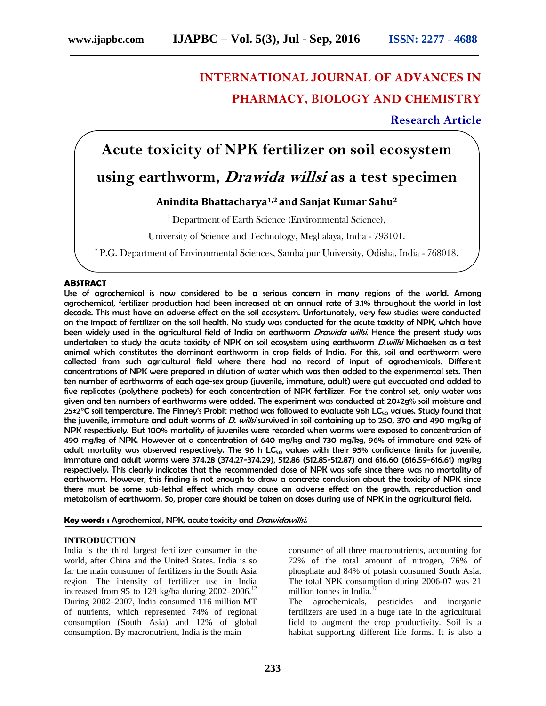## **INTERNATIONAL JOURNAL OF ADVANCES IN PHARMACY, BIOLOGY AND CHEMISTRY**

**Research Article**

# **Acute toxicity of NPK fertilizer on soil ecosystem**

### **using earthworm,** *Drawida willsi* **as a test specimen**

### **Anindita Bhattacharya1,2 and Sanjat Kumar Sahu<sup>2</sup>**

<sup>1</sup> Department of Earth Science (Environmental Science),

University of Science and Technology, Meghalaya, India - 793101.

<sup>2</sup> P.G. Department of Environmental Sciences, Sambalpur University, Odisha, India - 768018.

#### **ABSTRACT**

Use of agrochemical is now considered to be a serious concern in many regions of the world. Among agrochemical, fertilizer production had been increased at an annual rate of 3.1% throughout the world in last decade. This must have an adverse effect on the soil ecosystem. Unfortunately, very few studies were conducted on the impact of fertilizer on the soil health. No study was conducted for the acute toxicity of NPK, which have been widely used in the agricultural field of India on earthworm *Drawida willsi*. Hence the present study was undertaken to study the acute toxicity of NPK on soil ecosystem using earthworm *D.willsi* Michaelsen as a test animal which constitutes the dominant earthworm in crop fields of India. For this, soil and earthworm were collected from such agricultural field where there had no record of input of agrochemicals. Different concentrations of NPK were prepared in dilution of water which was then added to the experimental sets. Then ten number of earthworms of each age-sex group (juvenile, immature, adult) were gut evacuated and added to five replicates (polythene packets) for each concentration of NPK fertilizer. For the control set, only water was given and ten numbers of earthworms were added. The experiment was conducted at 20±2g% soil moisture and  $25\pm2^{\circ}$ C soil temperature. The Finney's Probit method was followed to evaluate 96h LC<sub>50</sub> values. Study found that the juvenile, immature and adult worms of *D. willsi* survived in soil containing up to 250, 370 and 490 mg/kg of NPK respectively. But 100% mortality of juveniles were recorded when worms were exposed to concentration of 490 mg/kg of NPK. However at a concentration of 640 mg/kg and 730 mg/kg, 96% of immature and 92% of adult mortality was observed respectively. The 96 h  $LC_{50}$  values with their 95% confidence limits for juvenile, immature and adult worms were 374.28 (374.27-374.29), 512.86 (512.85-512.87) and 616.60 (616.59-616.61) mg/kg respectively. This clearly indicates that the recommended dose of NPK was safe since there was no mortality of earthworm. However, this finding is not enough to draw a concrete conclusion about the toxicity of NPK since there must be some sub-lethal effect which may cause an adverse effect on the growth, reproduction and metabolism of earthworm. So, proper care should be taken on doses during use of NPK in the agricultural field.

**Key words :** Agrochemical, NPK, acute toxicity and *Drawidawillsi.*

#### **INTRODUCTION**

India is the third largest fertilizer consumer in the world, after China and the United States. India is so far the main consumer of fertilizers in the South Asia region. The intensity of fertilizer use in India increased from 95 to 128 kg/ha during  $2002-2006$ .<sup>12</sup> During 2002–2007, India consumed 116 million MT of nutrients, which represented 74% of regional consumption (South Asia) and 12% of global consumption. By macronutrient, India is the main

consumer of all three macronutrients, accounting for 72% of the total amount of nitrogen, 76% of phosphate and 84% of potash consumed South Asia. The total NPK consumption during 2006-07 was 21 million tonnes in India.<sup>16</sup>

The agrochemicals, pesticides and inorganic fertilizers are used in a huge rate in the agricultural field to augment the crop productivity. Soil is a habitat supporting different life forms. It is also a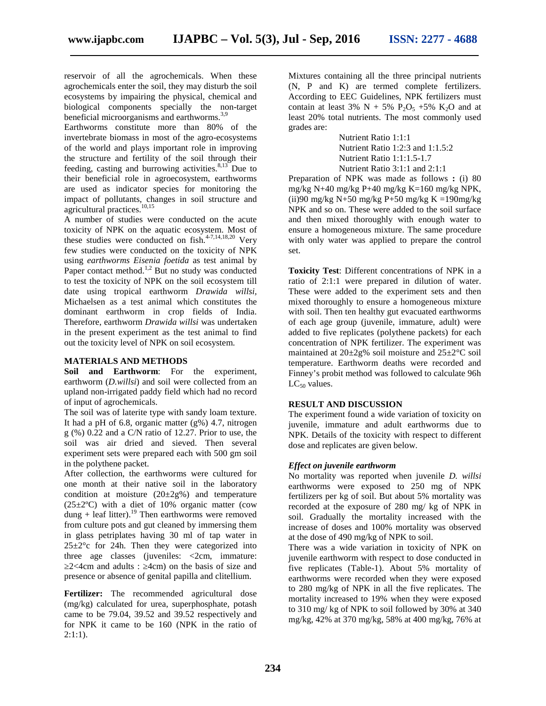reservoir of all the agrochemicals. When these agrochemicals enter the soil, they may disturb the soil ecosystems by impairing the physical, chemical and biological components specially the non-target beneficial microorganisms and earthworms.3,9

Earthworms constitute more than 80% of the invertebrate biomass in most of the agro-ecosystems of the world and plays important role in improving the structure and fertility of the soil through their feeding, casting and burrowing activities.  $8,13$  Due to their beneficial role in agroecosystem, earthworms are used as indicator species for monitoring the impact of pollutants, changes in soil structure and agricultural practices.<sup>10,15</sup>

A number of studies were conducted on the acute toxicity of NPK on the aquatic ecosystem. Most of these studies were conducted on fish.<sup>4-7,14,18,20</sup> Very few studies were conducted on the toxicity of NPK using *earthworms Eisenia foetida* as test animal by Paper contact method.<sup>1,2</sup> But no study was conducted to test the toxicity of NPK on the soil ecosystem till date using tropical earthworm *Drawida willsi,* Michaelsen as a test animal which constitutes the dominant earthworm in crop fields of India. Therefore, earthworm *Drawida willsi* was undertaken in the present experiment as the test animal to find out the toxicity level of NPK on soil ecosystem.

#### **MATERIALS AND METHODS**

**Soil and Earthworm**: For the experiment, earthworm (*D.willsi*) and soil were collected from an upland non-irrigated paddy field which had no record of input of agrochemicals.

The soil was of laterite type with sandy loam texture. It had a pH of 6.8, organic matter  $(g\% )$  4.7, nitrogen  $g (%) 0.22$  and a C/N ratio of 12.27. Prior to use, the soil was air dried and sieved. Then several experiment sets were prepared each with 500 gm soil in the polythene packet.

After collection, the earthworms were cultured for one month at their native soil in the laboratory condition at moisture  $(20\pm 2g\%)$  and temperature  $(25\pm2°C)$  with a diet of 10% organic matter (cow dung + leaf litter).<sup>19</sup> Then earthworms were removed from culture pots and gut cleaned by immersing them in glass petriplates having 30 ml of tap water in  $25\pm2^{\circ}$ c for 24h. Then they were categorized into three age classes (juveniles: <2cm, immature:  $2$ <4cm and adults : 4cm) on the basis of size and

presence or absence of genital papilla and clitellium.

**Fertilizer:** The recommended agricultural dose (mg/kg) calculated for urea, superphosphate, potash came to be 79.04, 39.52 and 39.52 respectively and for NPK it came to be 160 (NPK in the ratio of 2:1:1).

Mixtures containing all the three principal nutrients (N, P and K) are termed complete fertilizers. According to EEC Guidelines, NPK fertilizers must contain at least 3% N + 5% P<sub>2</sub>O<sub>5</sub> +5% K<sub>2</sub>O and at least 20% total nutrients. The most commonly used grades are:

> Nutrient Ratio 1:1:1 Nutrient Ratio 1:2:3 and 1:1.5:2 Nutrient Ratio 1:1:1.5-1.7 Nutrient Ratio 3:1:1 and 2:1:1

Preparation of NPK was made as follows **:** (i) 80 mg/kg N+40 mg/kg P+40 mg/kg K=160 mg/kg NPK, (ii)90 mg/kg N+50 mg/kg P+50 mg/kg K =190mg/kg NPK and so on. These were added to the soil surface and then mixed thoroughly with enough water to ensure a homogeneous mixture. The same procedure with only water was applied to prepare the control set.

**Toxicity Test**: Different concentrations of NPK in a ratio of 2:1:1 were prepared in dilution of water. These were added to the experiment sets and then mixed thoroughly to ensure a homogeneous mixture with soil. Then ten healthy gut evacuated earthworms of each age group (juvenile, immature, adult) were added to five replicates (polythene packets) for each concentration of NPK fertilizer. The experiment was maintained at 20±2g% soil moisture and 25±2°C soil temperature. Earthworm deaths were recorded and Finney's probit method was followed to calculate 96h  $LC_{50}$  values.

#### **RESULT AND DISCUSSION**

The experiment found a wide variation of toxicity on juvenile, immature and adult earthworms due to NPK. Details of the toxicity with respect to different dose and replicates are given below.

#### *Effect on juvenile earthworm*

No mortality was reported when juvenile *D. willsi* earthworms were exposed to 250 mg of NPK fertilizers per kg of soil. But about 5% mortality was recorded at the exposure of 280 mg/ kg of NPK in soil. Gradually the mortality increased with the increase of doses and 100% mortality was observed at the dose of 490 mg/kg of NPK to soil.

There was a wide variation in toxicity of NPK on juvenile earthworm with respect to dose conducted in five replicates (Table-1). About 5% mortality of earthworms were recorded when they were exposed to 280 mg/kg of NPK in all the five replicates. The mortality increased to 19% when they were exposed to 310 mg/ kg of NPK to soil followed by 30% at 340 mg/kg, 42% at 370 mg/kg, 58% at 400 mg/kg, 76% at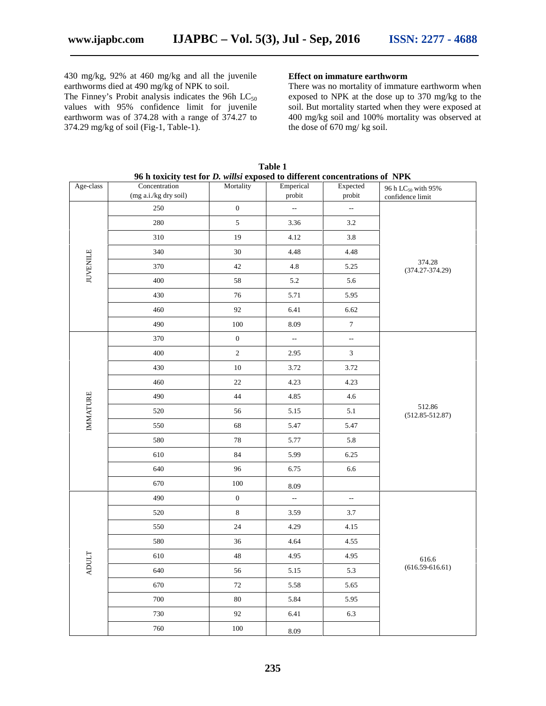430 mg/kg, 92% at 460 mg/kg and all the juvenile earthworms died at 490 mg/kg of NPK to soil.

The Finney's Probit analysis indicates the 96h  $LC_{50}$ values with 95% confidence limit for juvenile earthworm was of 374.28 with a range of 374.27 to 374.29 mg/kg of soil (Fig-1, Table-1).

#### **Effect on immature earthworm**

There was no mortality of immature earthworm when exposed to NPK at the dose up to 370 mg/kg to the soil. But mortality started when they were exposed at 400 mg/kg soil and 100% mortality was observed at the dose of 670 mg/ kg soil.

| 96 h toxicity test for <i>D. willsi</i> exposed to different concentrations of NPK |                              |                  |                          |                          |                                |
|------------------------------------------------------------------------------------|------------------------------|------------------|--------------------------|--------------------------|--------------------------------|
| Age-class                                                                          | Concentration                | Mortality        | Emperical<br>probit      | Expected<br>probit       | 96 h LC <sub>50</sub> with 95% |
|                                                                                    | (mg a.i./kg dry soil)<br>250 | $\boldsymbol{0}$ | $\overline{\phantom{a}}$ | $\overline{\phantom{a}}$ | confidence limit               |
| <b>JUVENILE</b>                                                                    |                              | $\sqrt{5}$       |                          |                          |                                |
|                                                                                    | 280                          |                  | 3.36                     | 3.2                      |                                |
|                                                                                    | 310                          | 19               | 4.12                     | 3.8                      | 374.28<br>$(374.27 - 374.29)$  |
|                                                                                    | 340                          | 30               | 4.48                     | 4.48                     |                                |
|                                                                                    | 370                          | 42               | 4.8                      | 5.25                     |                                |
|                                                                                    | 400                          | 58               | 5.2                      | 5.6                      |                                |
|                                                                                    | 430                          | 76               | 5.71                     | 5.95                     |                                |
|                                                                                    | 460                          | 92               | 6.41                     | 6.62                     |                                |
|                                                                                    | 490                          | 100              | 8.09                     | $\boldsymbol{7}$         |                                |
|                                                                                    | 370                          | $\boldsymbol{0}$ | 4                        | ÷,                       | 512.86<br>$(512.85 - 512.87)$  |
|                                                                                    | 400                          | $\sqrt{2}$       | 2.95                     | 3                        |                                |
| <b>IMMATURE</b>                                                                    | 430                          | 10               | 3.72                     | 3.72                     |                                |
|                                                                                    | 460                          | 22               | 4.23                     | 4.23                     |                                |
|                                                                                    | 490                          | 44               | 4.85                     | 4.6                      |                                |
|                                                                                    | 520                          | 56               | 5.15                     | $5.1\,$                  |                                |
|                                                                                    | 550                          | 68               | 5.47                     | 5.47                     |                                |
|                                                                                    | 580                          | 78               | 5.77                     | 5.8                      |                                |
|                                                                                    | 610                          | 84               | 5.99                     | 6.25                     |                                |
|                                                                                    | 640                          | 96               | 6.75                     | 6.6                      |                                |
|                                                                                    | 670                          | 100              | 8.09                     |                          |                                |
|                                                                                    | 490                          | $\boldsymbol{0}$ | ÷,                       | $\overline{\phantom{a}}$ | 616.6<br>$(616.59 - 616.61)$   |
|                                                                                    | 520                          | $\,8\,$          | 3.59                     | 3.7                      |                                |
|                                                                                    | 550                          | 24               | 4.29                     | 4.15                     |                                |
|                                                                                    | 580                          | 36               | 4.64                     | 4.55                     |                                |
|                                                                                    | 610                          | 48               | 4.95                     | 4.95                     |                                |
| <b>ADULT</b>                                                                       | 640                          | 56               | 5.15                     | 5.3                      |                                |
|                                                                                    | 670                          | $72\,$           | 5.58                     | 5.65                     |                                |
|                                                                                    | 700                          | $80\,$           | 5.84                     | 5.95                     |                                |
|                                                                                    | 730                          | 92               | 6.41                     | 6.3                      |                                |
|                                                                                    | 760                          | 100              |                          |                          |                                |
|                                                                                    |                              |                  | 8.09                     |                          |                                |

**Table 1**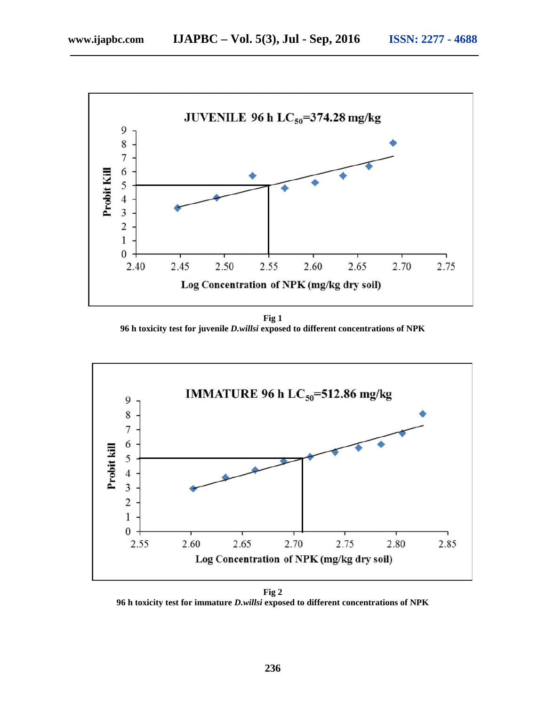

**Fig 1 96 h toxicity test for juvenile** *D.willsi* **exposed to different concentrations of NPK**



**Fig 2 96 h toxicity test for immature** *D.willsi* **exposed to different concentrations of NPK**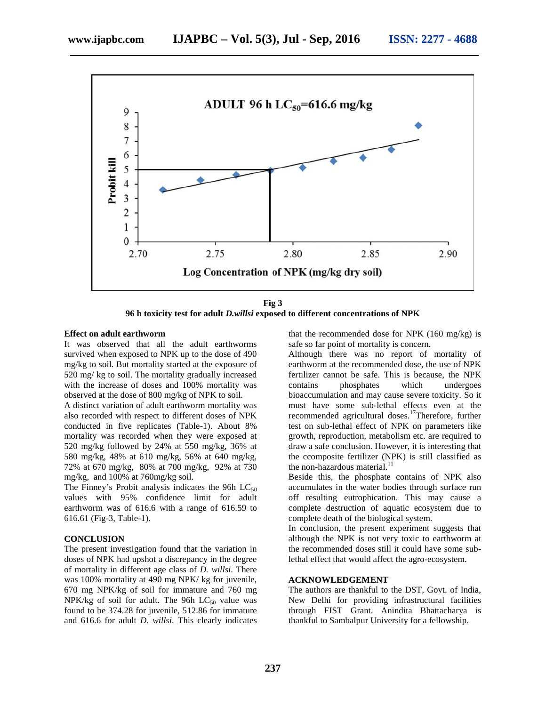

**Fig 3 96 h toxicity test for adult** *D.willsi* **exposed to different concentrations of NPK**

#### **Effect on adult earthworm**

It was observed that all the adult earthworms survived when exposed to NPK up to the dose of 490 mg/kg to soil. But mortality started at the exposure of 520 mg/ kg to soil. The mortality gradually increased with the increase of doses and 100% mortality was observed at the dose of 800 mg/kg of NPK to soil.

A distinct variation of adult earthworm mortality was also recorded with respect to different doses of NPK conducted in five replicates (Table-1). About 8% mortality was recorded when they were exposed at 520 mg/kg followed by 24% at 550 mg/kg, 36% at 580 mg/kg, 48% at 610 mg/kg, 56% at 640 mg/kg, 72% at 670 mg/kg, 80% at 700 mg/kg, 92% at 730 mg/kg, and 100% at 760mg/kg soil.

The Finney's Probit analysis indicates the 96h  $LC_{50}$ values with 95% confidence limit for adult earthworm was of 616.6 with a range of 616.59 to 616.61 (Fig-3, Table-1).

#### **CONCLUSION**

The present investigation found that the variation in doses of NPK had upshot a discrepancy in the degree of mortality in different age class of *D. willsi*. There was 100% mortality at 490 mg NPK/ kg for juvenile, 670 mg NPK/kg of soil for immature and 760 mg NPK/kg of soil for adult. The 96h  $LC_{50}$  value was found to be 374.28 for juvenile, 512.86 for immature and 616.6 for adult *D. willsi*. This clearly indicates that the recommended dose for NPK (160 mg/kg) is safe so far point of mortality is concern.

Although there was no report of mortality of earthworm at the recommended dose, the use of NPK fertilizer cannot be safe. This is because, the NPK contains phosphates which undergoes bioaccumulation and may cause severe toxicity. So it must have some sub-lethal effects even at the recommended agricultural doses.<sup>17</sup>Therefore, further test on sub-lethal effect of NPK on parameters like growth, reproduction, metabolism etc. are required to draw a safe conclusion. However, it is interesting that the ccomposite fertilizer (NPK) is still classified as the non-hazardous material.<sup>11</sup>

Beside this, the phosphate contains of NPK also accumulates in the water bodies through surface run off resulting eutrophication. This may cause a complete destruction of aquatic ecosystem due to complete death of the biological system.

In conclusion, the present experiment suggests that although the NPK is not very toxic to earthworm at the recommended doses still it could have some sublethal effect that would affect the agro-ecosystem.

#### **ACKNOWLEDGEMENT**

The authors are thankful to the DST, Govt. of India, New Delhi for providing infrastructural facilities through FIST Grant. Anindita Bhattacharya is thankful to Sambalpur University for a fellowship.